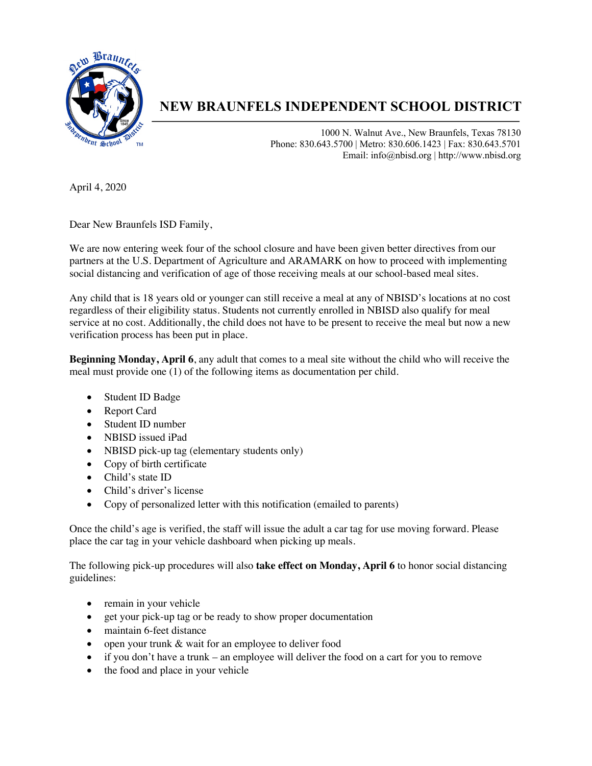

## **NEW BRAUNFELS INDEPENDENT SCHOOL DISTRICT**

1000 N. Walnut Ave., New Braunfels, Texas 78130 Phone: 830.643.5700 | Metro: 830.606.1423 | Fax: 830.643.5701 Email: info@nbisd.org | http://www.nbisd.org

April 4, 2020

Dear New Braunfels ISD Family,

We are now entering week four of the school closure and have been given better directives from our partners at the U.S. Department of Agriculture and ARAMARK on how to proceed with implementing social distancing and verification of age of those receiving meals at our school-based meal sites.

Any child that is 18 years old or younger can still receive a meal at any of NBISD's locations at no cost regardless of their eligibility status. Students not currently enrolled in NBISD also qualify for meal service at no cost. Additionally, the child does not have to be present to receive the meal but now a new verification process has been put in place.

**Beginning Monday, April 6**, any adult that comes to a meal site without the child who will receive the meal must provide one (1) of the following items as documentation per child.

- Student ID Badge
- Report Card
- Student ID number
- NBISD issued iPad
- NBISD pick-up tag (elementary students only)
- Copy of birth certificate
- Child's state ID
- Child's driver's license
- Copy of personalized letter with this notification (emailed to parents)

Once the child's age is verified, the staff will issue the adult a car tag for use moving forward. Please place the car tag in your vehicle dashboard when picking up meals.

The following pick-up procedures will also **take effect on Monday, April 6** to honor social distancing guidelines:

- remain in your vehicle
- get your pick-up tag or be ready to show proper documentation
- maintain 6-feet distance
- open your trunk & wait for an employee to deliver food
- if you don't have a trunk an employee will deliver the food on a cart for you to remove
- the food and place in your vehicle